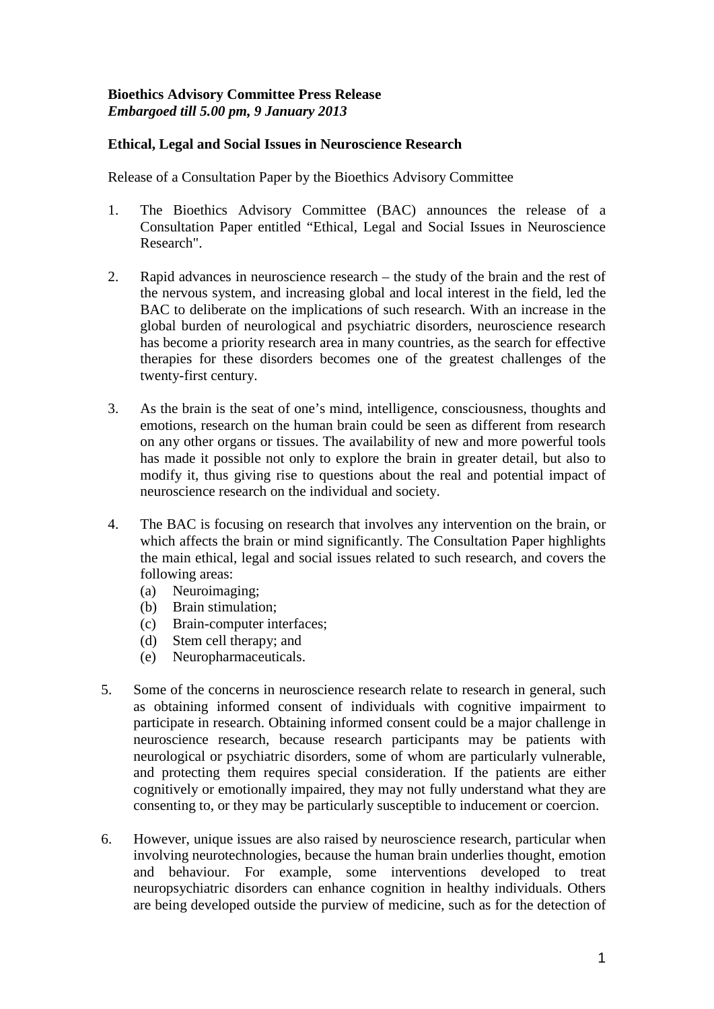## **Bioethics Advisory Committee Press Release** *Embargoed till 5.00 pm, 9 January 2013*

## **Ethical, Legal and Social Issues in Neuroscience Research**

Release of a Consultation Paper by the Bioethics Advisory Committee

- 1. The Bioethics Advisory Committee (BAC) announces the release of a Consultation Paper entitled "Ethical, Legal and Social Issues in Neuroscience Research".
- 2. Rapid advances in neuroscience research the study of the brain and the rest of the nervous system, and increasing global and local interest in the field, led the BAC to deliberate on the implications of such research. With an increase in the global burden of neurological and psychiatric disorders, neuroscience research has become a priority research area in many countries, as the search for effective therapies for these disorders becomes one of the greatest challenges of the twenty-first century.
- 3. As the brain is the seat of one's mind, intelligence, consciousness, thoughts and emotions, research on the human brain could be seen as different from research on any other organs or tissues. The availability of new and more powerful tools has made it possible not only to explore the brain in greater detail, but also to modify it, thus giving rise to questions about the real and potential impact of neuroscience research on the individual and society.
- 4. The BAC is focusing on research that involves any intervention on the brain, or which affects the brain or mind significantly. The Consultation Paper highlights the main ethical, legal and social issues related to such research, and covers the following areas:
	- (a) Neuroimaging;
	- (b) Brain stimulation;
	- (c) Brain-computer interfaces;
	- (d) Stem cell therapy; and
	- (e) Neuropharmaceuticals.
- 5. Some of the concerns in neuroscience research relate to research in general, such as obtaining informed consent of individuals with cognitive impairment to participate in research. Obtaining informed consent could be a major challenge in neuroscience research, because research participants may be patients with neurological or psychiatric disorders, some of whom are particularly vulnerable, and protecting them requires special consideration. If the patients are either cognitively or emotionally impaired, they may not fully understand what they are consenting to, or they may be particularly susceptible to inducement or coercion.
- 6. However, unique issues are also raised by neuroscience research, particular when involving neurotechnologies, because the human brain underlies thought, emotion and behaviour. For example, some interventions developed to treat neuropsychiatric disorders can enhance cognition in healthy individuals. Others are being developed outside the purview of medicine, such as for the detection of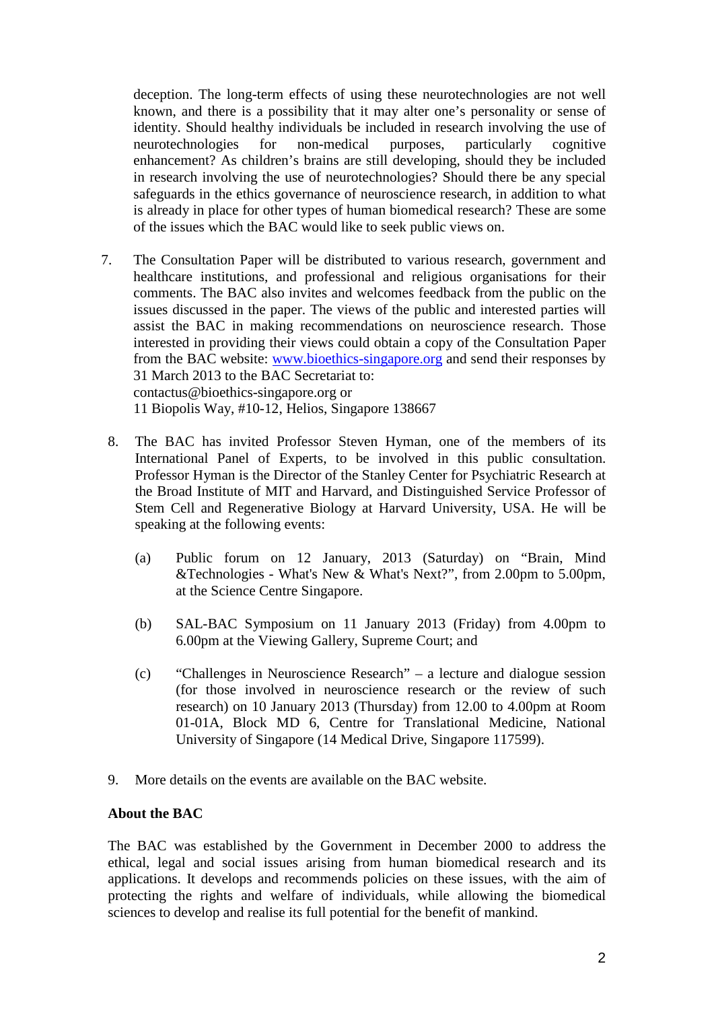deception. The long-term effects of using these neurotechnologies are not well known, and there is a possibility that it may alter one's personality or sense of identity. Should healthy individuals be included in research involving the use of neurotechnologies for non-medical purposes, particularly cognitive neurotechnologies for non-medical purposes, particularly cognitive enhancement? As children's brains are still developing, should they be included in research involving the use of neurotechnologies? Should there be any special safeguards in the ethics governance of neuroscience research, in addition to what is already in place for other types of human biomedical research? These are some of the issues which the BAC would like to seek public views on.

- 7. The Consultation Paper will be distributed to various research, government and healthcare institutions, and professional and religious organisations for their comments. The BAC also invites and welcomes feedback from the public on the issues discussed in the paper. The views of the public and interested parties will assist the BAC in making recommendations on neuroscience research. Those interested in providing their views could obtain a copy of the Consultation Paper from the BAC website: [www.bioethics-singapore.org](http://www.bioethics-singapore.org/) and send their responses by 31 March 2013 to the BAC Secretariat to: contactus@bioethics-singapore.org or 11 Biopolis Way, #10-12, Helios, Singapore 138667
	- 8. The BAC has invited Professor Steven Hyman, one of the members of its International Panel of Experts, to be involved in this public consultation. Professor Hyman is the Director of the Stanley Center for Psychiatric Research at the Broad Institute of MIT and Harvard, and Distinguished Service Professor of Stem Cell and Regenerative Biology at Harvard University, USA. He will be speaking at the following events:
		- (a) Public forum on 12 January, 2013 (Saturday) on "Brain, Mind &Technologies - What's New & What's Next?", from 2.00pm to 5.00pm, at the Science Centre Singapore.
		- (b) SAL-BAC Symposium on 11 January 2013 (Friday) from 4.00pm to 6.00pm at the Viewing Gallery, Supreme Court; and
		- (c) "Challenges in Neuroscience Research" a lecture and dialogue session (for those involved in neuroscience research or the review of such research) on 10 January 2013 (Thursday) from 12.00 to 4.00pm at Room 01-01A, Block MD 6, Centre for Translational Medicine, National University of Singapore (14 Medical Drive, Singapore 117599).
	- 9. More details on the events are available on the BAC website.

## **About the BAC**

The BAC was established by the Government in December 2000 to address the ethical, legal and social issues arising from human biomedical research and its applications. It develops and recommends policies on these issues, with the aim of protecting the rights and welfare of individuals, while allowing the biomedical sciences to develop and realise its full potential for the benefit of mankind.